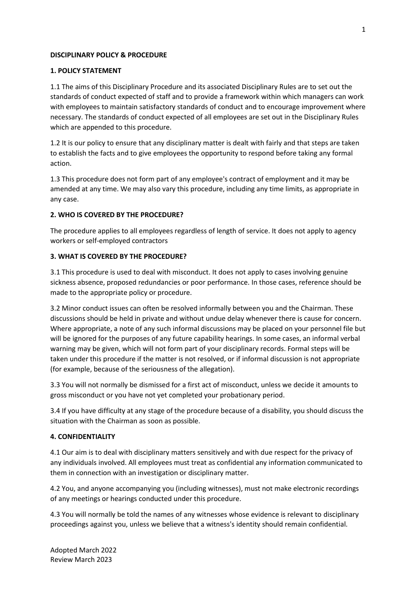### **DISCIPLINARY POLICY & PROCEDURE**

## **1. POLICY STATEMENT**

1.1 The aims of this Disciplinary Procedure and its associated Disciplinary Rules are to set out the standards of conduct expected of staff and to provide a framework within which managers can work with employees to maintain satisfactory standards of conduct and to encourage improvement where necessary. The standards of conduct expected of all employees are set out in the Disciplinary Rules which are appended to this procedure.

1.2 It is our policy to ensure that any disciplinary matter is dealt with fairly and that steps are taken to establish the facts and to give employees the opportunity to respond before taking any formal action.

1.3 This procedure does not form part of any employee's contract of employment and it may be amended at any time. We may also vary this procedure, including any time limits, as appropriate in any case.

## **2. WHO IS COVERED BY THE PROCEDURE?**

The procedure applies to all employees regardless of length of service. It does not apply to agency workers or self-employed contractors

## **3. WHAT IS COVERED BY THE PROCEDURE?**

3.1 This procedure is used to deal with misconduct. It does not apply to cases involving genuine sickness absence, proposed redundancies or poor performance. In those cases, reference should be made to the appropriate policy or procedure.

3.2 Minor conduct issues can often be resolved informally between you and the Chairman. These discussions should be held in private and without undue delay whenever there is cause for concern. Where appropriate, a note of any such informal discussions may be placed on your personnel file but will be ignored for the purposes of any future capability hearings. In some cases, an informal verbal warning may be given, which will not form part of your disciplinary records. Formal steps will be taken under this procedure if the matter is not resolved, or if informal discussion is not appropriate (for example, because of the seriousness of the allegation).

3.3 You will not normally be dismissed for a first act of misconduct, unless we decide it amounts to gross misconduct or you have not yet completed your probationary period.

3.4 If you have difficulty at any stage of the procedure because of a disability, you should discuss the situation with the Chairman as soon as possible.

### **4. CONFIDENTIALITY**

4.1 Our aim is to deal with disciplinary matters sensitively and with due respect for the privacy of any individuals involved. All employees must treat as confidential any information communicated to them in connection with an investigation or disciplinary matter.

4.2 You, and anyone accompanying you (including witnesses), must not make electronic recordings of any meetings or hearings conducted under this procedure.

4.3 You will normally be told the names of any witnesses whose evidence is relevant to disciplinary proceedings against you, unless we believe that a witness's identity should remain confidential.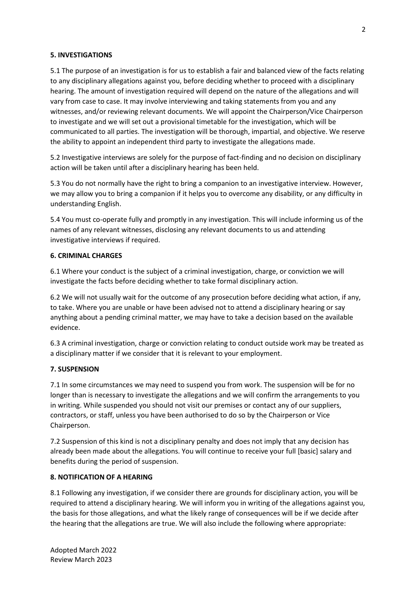### **5. INVESTIGATIONS**

5.1 The purpose of an investigation is for us to establish a fair and balanced view of the facts relating to any disciplinary allegations against you, before deciding whether to proceed with a disciplinary hearing. The amount of investigation required will depend on the nature of the allegations and will vary from case to case. It may involve interviewing and taking statements from you and any witnesses, and/or reviewing relevant documents. We will appoint the Chairperson/Vice Chairperson to investigate and we will set out a provisional timetable for the investigation, which will be communicated to all parties. The investigation will be thorough, impartial, and objective. We reserve the ability to appoint an independent third party to investigate the allegations made.

5.2 Investigative interviews are solely for the purpose of fact-finding and no decision on disciplinary action will be taken until after a disciplinary hearing has been held.

5.3 You do not normally have the right to bring a companion to an investigative interview. However, we may allow you to bring a companion if it helps you to overcome any disability, or any difficulty in understanding English.

5.4 You must co-operate fully and promptly in any investigation. This will include informing us of the names of any relevant witnesses, disclosing any relevant documents to us and attending investigative interviews if required.

### **6. CRIMINAL CHARGES**

6.1 Where your conduct is the subject of a criminal investigation, charge, or conviction we will investigate the facts before deciding whether to take formal disciplinary action.

6.2 We will not usually wait for the outcome of any prosecution before deciding what action, if any, to take. Where you are unable or have been advised not to attend a disciplinary hearing or say anything about a pending criminal matter, we may have to take a decision based on the available evidence.

6.3 A criminal investigation, charge or conviction relating to conduct outside work may be treated as a disciplinary matter if we consider that it is relevant to your employment.

# **7. SUSPENSION**

7.1 In some circumstances we may need to suspend you from work. The suspension will be for no longer than is necessary to investigate the allegations and we will confirm the arrangements to you in writing. While suspended you should not visit our premises or contact any of our suppliers, contractors, or staff, unless you have been authorised to do so by the Chairperson or Vice Chairperson.

7.2 Suspension of this kind is not a disciplinary penalty and does not imply that any decision has already been made about the allegations. You will continue to receive your full [basic] salary and benefits during the period of suspension.

# **8. NOTIFICATION OF A HEARING**

8.1 Following any investigation, if we consider there are grounds for disciplinary action, you will be required to attend a disciplinary hearing. We will inform you in writing of the allegations against you, the basis for those allegations, and what the likely range of consequences will be if we decide after the hearing that the allegations are true. We will also include the following where appropriate: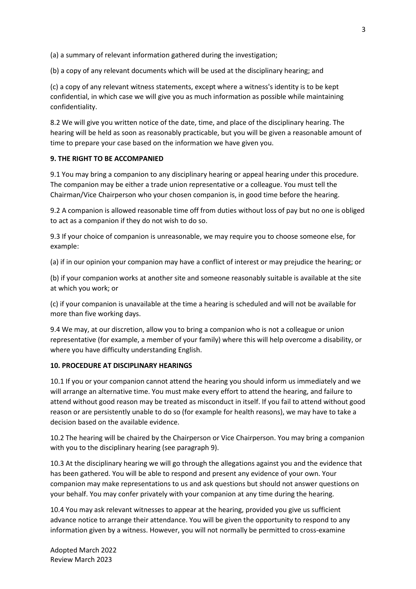(a) a summary of relevant information gathered during the investigation;

(b) a copy of any relevant documents which will be used at the disciplinary hearing; and

(c) a copy of any relevant witness statements, except where a witness's identity is to be kept confidential, in which case we will give you as much information as possible while maintaining confidentiality.

8.2 We will give you written notice of the date, time, and place of the disciplinary hearing. The hearing will be held as soon as reasonably practicable, but you will be given a reasonable amount of time to prepare your case based on the information we have given you.

### **9. THE RIGHT TO BE ACCOMPANIED**

9.1 You may bring a companion to any disciplinary hearing or appeal hearing under this procedure. The companion may be either a trade union representative or a colleague. You must tell the Chairman/Vice Chairperson who your chosen companion is, in good time before the hearing.

9.2 A companion is allowed reasonable time off from duties without loss of pay but no one is obliged to act as a companion if they do not wish to do so.

9.3 If your choice of companion is unreasonable, we may require you to choose someone else, for example:

(a) if in our opinion your companion may have a conflict of interest or may prejudice the hearing; or

(b) if your companion works at another site and someone reasonably suitable is available at the site at which you work; or

(c) if your companion is unavailable at the time a hearing is scheduled and will not be available for more than five working days.

9.4 We may, at our discretion, allow you to bring a companion who is not a colleague or union representative (for example, a member of your family) where this will help overcome a disability, or where you have difficulty understanding English.

### **10. PROCEDURE AT DISCIPLINARY HEARINGS**

10.1 If you or your companion cannot attend the hearing you should inform us immediately and we will arrange an alternative time. You must make every effort to attend the hearing, and failure to attend without good reason may be treated as misconduct in itself. If you fail to attend without good reason or are persistently unable to do so (for example for health reasons), we may have to take a decision based on the available evidence.

10.2 The hearing will be chaired by the Chairperson or Vice Chairperson. You may bring a companion with you to the disciplinary hearing (see paragraph 9).

10.3 At the disciplinary hearing we will go through the allegations against you and the evidence that has been gathered. You will be able to respond and present any evidence of your own. Your companion may make representations to us and ask questions but should not answer questions on your behalf. You may confer privately with your companion at any time during the hearing.

10.4 You may ask relevant witnesses to appear at the hearing, provided you give us sufficient advance notice to arrange their attendance. You will be given the opportunity to respond to any information given by a witness. However, you will not normally be permitted to cross-examine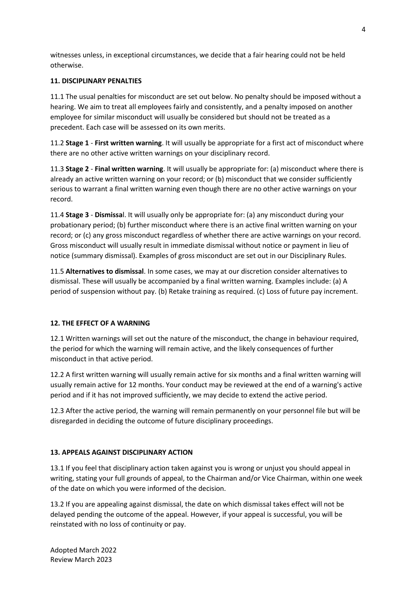witnesses unless, in exceptional circumstances, we decide that a fair hearing could not be held otherwise.

## **11. DISCIPLINARY PENALTIES**

11.1 The usual penalties for misconduct are set out below. No penalty should be imposed without a hearing. We aim to treat all employees fairly and consistently, and a penalty imposed on another employee for similar misconduct will usually be considered but should not be treated as a precedent. Each case will be assessed on its own merits.

11.2 **Stage 1** - **First written warning**. It will usually be appropriate for a first act of misconduct where there are no other active written warnings on your disciplinary record.

11.3 **Stage 2** - **Final written warning**. It will usually be appropriate for: (a) misconduct where there is already an active written warning on your record; or (b) misconduct that we consider sufficiently serious to warrant a final written warning even though there are no other active warnings on your record.

11.4 **Stage 3** - **Dismissa**l. It will usually only be appropriate for: (a) any misconduct during your probationary period; (b) further misconduct where there is an active final written warning on your record; or (c) any gross misconduct regardless of whether there are active warnings on your record. Gross misconduct will usually result in immediate dismissal without notice or payment in lieu of notice (summary dismissal). Examples of gross misconduct are set out in our Disciplinary Rules.

11.5 **Alternatives to dismissal**. In some cases, we may at our discretion consider alternatives to dismissal. These will usually be accompanied by a final written warning. Examples include: (a) A period of suspension without pay. (b) Retake training as required. (c) Loss of future pay increment.

# **12. THE EFFECT OF A WARNING**

12.1 Written warnings will set out the nature of the misconduct, the change in behaviour required, the period for which the warning will remain active, and the likely consequences of further misconduct in that active period.

12.2 A first written warning will usually remain active for six months and a final written warning will usually remain active for 12 months. Your conduct may be reviewed at the end of a warning's active period and if it has not improved sufficiently, we may decide to extend the active period.

12.3 After the active period, the warning will remain permanently on your personnel file but will be disregarded in deciding the outcome of future disciplinary proceedings.

# **13. APPEALS AGAINST DISCIPLINARY ACTION**

13.1 If you feel that disciplinary action taken against you is wrong or unjust you should appeal in writing, stating your full grounds of appeal, to the Chairman and/or Vice Chairman, within one week of the date on which you were informed of the decision.

13.2 If you are appealing against dismissal, the date on which dismissal takes effect will not be delayed pending the outcome of the appeal. However, if your appeal is successful, you will be reinstated with no loss of continuity or pay.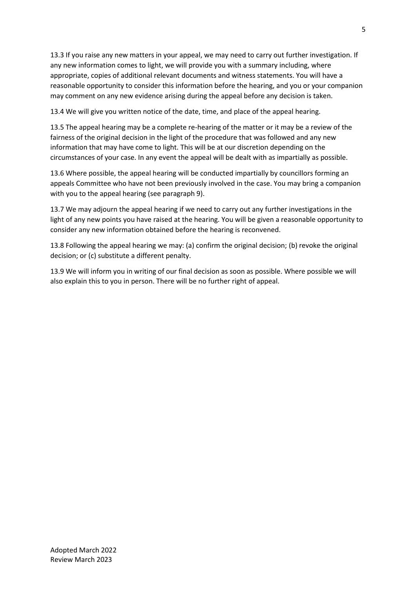13.3 If you raise any new matters in your appeal, we may need to carry out further investigation. If any new information comes to light, we will provide you with a summary including, where appropriate, copies of additional relevant documents and witness statements. You will have a reasonable opportunity to consider this information before the hearing, and you or your companion may comment on any new evidence arising during the appeal before any decision is taken.

13.4 We will give you written notice of the date, time, and place of the appeal hearing.

13.5 The appeal hearing may be a complete re-hearing of the matter or it may be a review of the fairness of the original decision in the light of the procedure that was followed and any new information that may have come to light. This will be at our discretion depending on the circumstances of your case. In any event the appeal will be dealt with as impartially as possible.

13.6 Where possible, the appeal hearing will be conducted impartially by councillors forming an appeals Committee who have not been previously involved in the case. You may bring a companion with you to the appeal hearing (see paragraph 9).

13.7 We may adjourn the appeal hearing if we need to carry out any further investigations in the light of any new points you have raised at the hearing. You will be given a reasonable opportunity to consider any new information obtained before the hearing is reconvened.

13.8 Following the appeal hearing we may: (a) confirm the original decision; (b) revoke the original decision; or (c) substitute a different penalty.

13.9 We will inform you in writing of our final decision as soon as possible. Where possible we will also explain this to you in person. There will be no further right of appeal.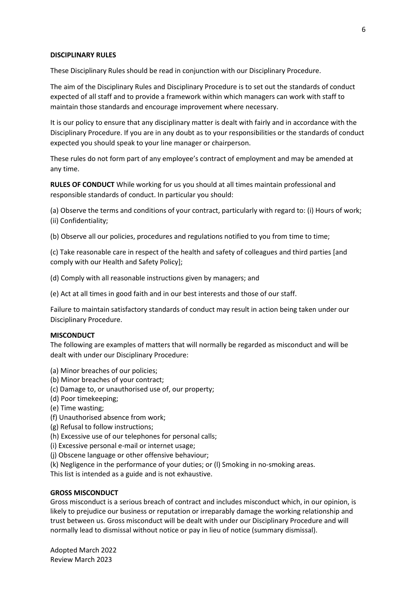#### **DISCIPLINARY RULES**

These Disciplinary Rules should be read in conjunction with our Disciplinary Procedure.

The aim of the Disciplinary Rules and Disciplinary Procedure is to set out the standards of conduct expected of all staff and to provide a framework within which managers can work with staff to maintain those standards and encourage improvement where necessary.

It is our policy to ensure that any disciplinary matter is dealt with fairly and in accordance with the Disciplinary Procedure. If you are in any doubt as to your responsibilities or the standards of conduct expected you should speak to your line manager or chairperson.

These rules do not form part of any employee's contract of employment and may be amended at any time.

**RULES OF CONDUCT** While working for us you should at all times maintain professional and responsible standards of conduct. In particular you should:

(a) Observe the terms and conditions of your contract, particularly with regard to: (i) Hours of work; (ii) Confidentiality;

(b) Observe all our policies, procedures and regulations notified to you from time to time;

(c) Take reasonable care in respect of the health and safety of colleagues and third parties [and comply with our Health and Safety Policy];

- (d) Comply with all reasonable instructions given by managers; and
- (e) Act at all times in good faith and in our best interests and those of our staff.

Failure to maintain satisfactory standards of conduct may result in action being taken under our Disciplinary Procedure.

#### **MISCONDUCT**

The following are examples of matters that will normally be regarded as misconduct and will be dealt with under our Disciplinary Procedure:

- (a) Minor breaches of our policies;
- (b) Minor breaches of your contract;
- (c) Damage to, or unauthorised use of, our property;
- (d) Poor timekeeping;
- (e) Time wasting;
- (f) Unauthorised absence from work;
- (g) Refusal to follow instructions;
- (h) Excessive use of our telephones for personal calls;
- (i) Excessive personal e-mail or internet usage;
- (j) Obscene language or other offensive behaviour;
- (k) Negligence in the performance of your duties; or (l) Smoking in no-smoking areas.

This list is intended as a guide and is not exhaustive.

#### **GROSS MISCONDUCT**

Gross misconduct is a serious breach of contract and includes misconduct which, in our opinion, is likely to prejudice our business or reputation or irreparably damage the working relationship and trust between us. Gross misconduct will be dealt with under our Disciplinary Procedure and will normally lead to dismissal without notice or pay in lieu of notice (summary dismissal).

Adopted March 2022 Review March 2023